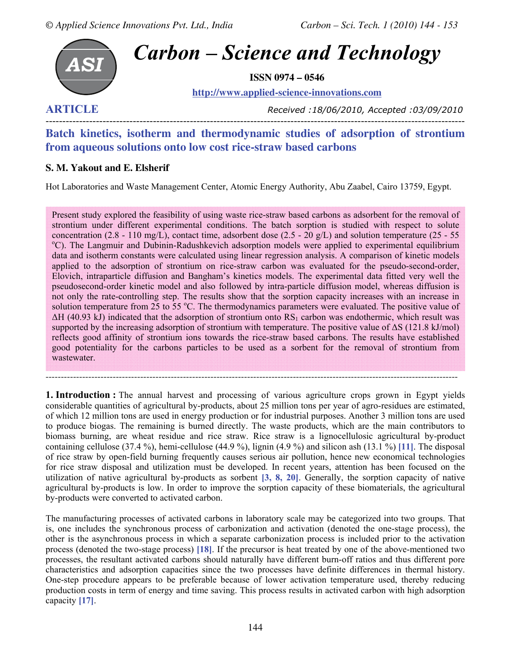

**ARTICLE** *Received :18/06/2010, Accepted :03/09/2010*

## ----------------------------------------------------------------------------------------------------------------------------- **Batch kinetics, isotherm and thermodynamic studies of adsorption of strontium from aqueous solutions onto low cost rice-straw based carbons**

### **S. M. Yakout and E. Elsherif**

Hot Laboratories and Waste Management Center, Atomic Energy Authority, Abu Zaabel, Cairo 13759, Egypt.

Present study explored the feasibility of using waste rice-straw based carbons as adsorbent for the removal of strontium under different experimental conditions. The batch sorption is studied with respect to solute concentration (2.8 - 110 mg/L), contact time, adsorbent dose (2.5 - 20 g/L) and solution temperature (25 - 55 <sup>o</sup>C). The Langmuir and Dubinin-Radushkevich adsorption models were applied to experimental equilibrium data and isotherm constants were calculated using linear regression analysis. A comparison of kinetic models applied to the adsorption of strontium on rice-straw carbon was evaluated for the pseudo-second-order, Elovich, intraparticle diffusion and Bangham's kinetics models. The experimental data fitted very well the pseudosecond-order kinetic model and also followed by intra-particle diffusion model, whereas diffusion is not only the rate-controlling step. The results show that the sorption capacity increases with an increase in solution temperature from 25 to 55 °C. The thermodynamics parameters were evaluated. The positive value of  $\Delta H$  (40.93 kJ) indicated that the adsorption of strontium onto RS<sub>1</sub> carbon was endothermic, which result was supported by the increasing adsorption of strontium with temperature. The positive value of  $\Delta S$  (121.8 kJ/mol) reflects good affinity of strontium ions towards the rice-straw based carbons. The results have established good potentiality for the carbons particles to be used as a sorbent for the removal of strontium from wastewater.

**1. Introduction :** The annual harvest and processing of various agriculture crops grown in Egypt yields considerable quantities of agricultural by-products, about 25 million tons per year of agro-residues are estimated, of which 12 million tons are used in energy production or for industrial purposes. Another 3 million tons are used to produce biogas. The remaining is burned directly. The waste products, which are the main contributors to biomass burning, are wheat residue and rice straw. Rice straw is a lignocellulosic agricultural by-product containing cellulose (37.4 %), hemi-cellulose (44.9 %), lignin (4.9 %) and silicon ash (13.1 %) **[11]**. The disposal of rice straw by open-field burning frequently causes serious air pollution, hence new economical technologies for rice straw disposal and utilization must be developed. In recent years, attention has been focused on the utilization of native agricultural by-products as sorbent **[3, 8, 20]**. Generally, the sorption capacity of native agricultural by-products is low. In order to improve the sorption capacity of these biomaterials, the agricultural by-products were converted to activated carbon.

---------------------------------------------------------------------------------------------------------------------------------------

The manufacturing processes of activated carbons in laboratory scale may be categorized into two groups. That is, one includes the synchronous process of carbonization and activation (denoted the one-stage process), the other is the asynchronous process in which a separate carbonization process is included prior to the activation process (denoted the two-stage process) **[18]**. If the precursor is heat treated by one of the above-mentioned two processes, the resultant activated carbons should naturally have different burn-off ratios and thus different pore characteristics and adsorption capacities since the two processes have definite differences in thermal history. One-step procedure appears to be preferable because of lower activation temperature used, thereby reducing production costs in term of energy and time saving. This process results in activated carbon with high adsorption capacity **[17]**.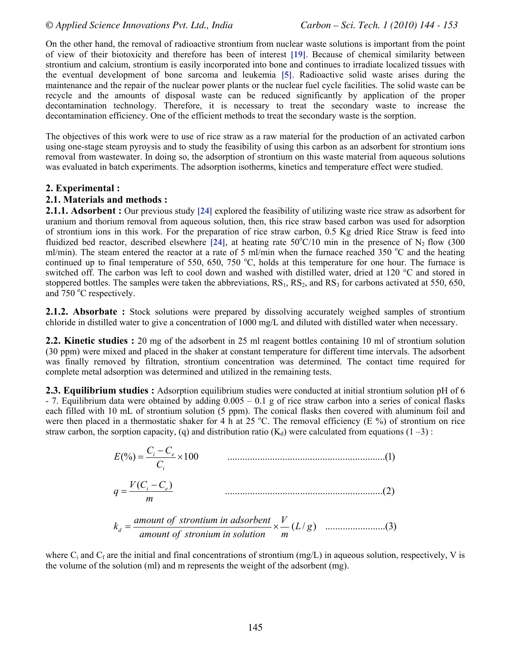On the other hand, the removal of radioactive strontium from nuclear waste solutions is important from the point of view of their biotoxicity and therefore has been of interest **[19]**. Because of chemical similarity between strontium and calcium, strontium is easily incorporated into bone and continues to irradiate localized tissues with the eventual development of bone sarcoma and leukemia **[5]**. Radioactive solid waste arises during the maintenance and the repair of the nuclear power plants or the nuclear fuel cycle facilities. The solid waste can be recycle and the amounts of disposal waste can be reduced significantly by application of the proper decontamination technology. Therefore, it is necessary to treat the secondary waste to increase the decontamination efficiency. One of the efficient methods to treat the secondary waste is the sorption.

The objectives of this work were to use of rice straw as a raw material for the production of an activated carbon using one-stage steam pyroysis and to study the feasibility of using this carbon as an adsorbent for strontium ions removal from wastewater. In doing so, the adsorption of strontium on this waste material from aqueous solutions was evaluated in batch experiments. The adsorption isotherms, kinetics and temperature effect were studied.

#### **2. Experimental :**

#### **2.1. Materials and methods :**

**2.1.1. Adsorbent :** Our previous study [24] explored the feasibility of utilizing waste rice straw as adsorbent for uranium and thorium removal from aqueous solution, then, this rice straw based carbon was used for adsorption of strontium ions in this work. For the preparation of rice straw carbon, 0.5 Kg dried Rice Straw is feed into fluidized bed reactor, described elsewhere [24], at heating rate  $50^{\circ}$ C/10 min in the presence of N<sub>2</sub> flow (300 ml/min). The steam entered the reactor at a rate of 5 ml/min when the furnace reached 350  $\degree$ C and the heating continued up to final temperature of 550, 650, 750  $^{\circ}$ C, holds at this temperature for one hour. The furnace is switched off. The carbon was left to cool down and washed with distilled water, dried at 120 °C and stored in stoppered bottles. The samples were taken the abbreviations,  $RS_1$ ,  $RS_2$ , and  $RS_3$  for carbons activated at 550, 650, and  $750^{\circ}$ C respectively.

2.1.2. Absorbate : Stock solutions were prepared by dissolving accurately weighed samples of strontium chloride in distilled water to give a concentration of 1000 mg/L and diluted with distilled water when necessary.

**2.2. Kinetic studies :** 20 mg of the adsorbent in 25 ml reagent bottles containing 10 ml of strontium solution (30 ppm) were mixed and placed in the shaker at constant temperature for different time intervals. The adsorbent was finally removed by filtration, strontium concentration was determined. The contact time required for complete metal adsorption was determined and utilized in the remaining tests.

**2.3. Equilibrium studies :** Adsorption equilibrium studies were conducted at initial strontium solution pH of 6 - 7. Equilibrium data were obtained by adding 0.005 – 0.1 g of rice straw carbon into a series of conical flasks each filled with 10 mL of strontium solution (5 ppm). The conical flasks then covered with aluminum foil and were then placed in a thermostatic shaker for 4 h at 25 °C. The removal efficiency (E %) of strontium on rice straw carbon, the sorption capacity, (q) and distribution ratio  $(K_d)$  were calculated from equations (1 –3) :

$$
E(\%) = \frac{C_i - C_e}{C_i} \times 100
$$
 (1)  
 
$$
q = \frac{V(C_i - C_e)}{m}
$$
 (2)

( / ) ........................(3) *L g m V amount of stronium in solution amount of strontium in adsorbent <sup>k</sup> d* = ×

where  $C_i$  and  $C_f$  are the initial and final concentrations of strontium (mg/L) in aqueous solution, respectively, V is the volume of the solution (ml) and m represents the weight of the adsorbent (mg).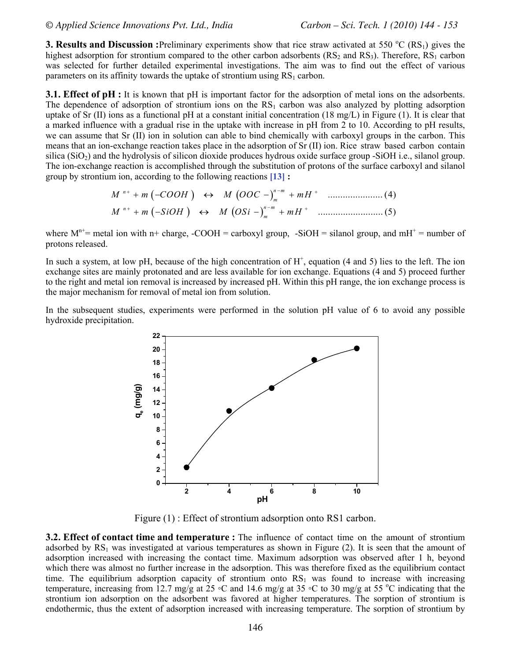**3. Results and Discussion :**Preliminary experiments show that rice straw activated at 550 °C (RS<sub>1</sub>) gives the highest adsorption for strontium compared to the other carbon adsorbents  $(RS_2$  and  $RS_3)$ . Therefore,  $RS_1$  carbon was selected for further detailed experimental investigations. The aim was to find out the effect of various parameters on its affinity towards the uptake of strontium using  $RS<sub>1</sub>$  carbon.

**3.1. Effect of pH :** It is known that pH is important factor for the adsorption of metal ions on the adsorbents. The dependence of adsorption of strontium ions on the  $RS<sub>1</sub>$  carbon was also analyzed by plotting adsorption uptake of Sr (II) ions as a functional pH at a constant initial concentration (18 mg/L) in Figure (1). It is clear that a marked influence with a gradual rise in the uptake with increase in pH from 2 to 10. According to pH results, we can assume that Sr (II) ion in solution can able to bind chemically with carboxyl groups in the carbon. This means that an ion-exchange reaction takes place in the adsorption of Sr (II) ion. Rice straw based carbon contain silica ( $SiO<sub>2</sub>$ ) and the hydrolysis of silicon dioxide produces hydrous oxide surface group -SiOH i.e., silanol group. The ion-exchange reaction is accomplished through the substitution of protons of the surface carboxyl and silanol group by strontium ion, according to the following reactions **[13] :**

( ) ( ) ...................... (4) *<sup>n</sup> n m M m COOH M OOC mH <sup>m</sup>* <sup>+</sup> <sup>−</sup> <sup>+</sup> +− ↔ − + ( ) () .......................... (5) *<sup>n</sup> n m M m SiOH M OSi mH <sup>m</sup>* <sup>+</sup> <sup>−</sup> <sup>+</sup> +− ↔ − +

where  $M^{n+}$  = metal ion with n+ charge, -COOH = carboxyl group, -SiOH = silanol group, and mH<sup>+</sup> = number of protons released.

In such a system, at low pH, because of the high concentration of  $H^+$ , equation (4 and 5) lies to the left. The ion exchange sites are mainly protonated and are less available for ion exchange. Equations (4 and 5) proceed further to the right and metal ion removal is increased by increased pH. Within this pH range, the ion exchange process is the major mechanism for removal of metal ion from solution.

In the subsequent studies, experiments were performed in the solution pH value of 6 to avoid any possible hydroxide precipitation.



Figure (1) : Effect of strontium adsorption onto RS1 carbon.

**3.2. Effect of contact time and temperature :** The influence of contact time on the amount of strontium adsorbed by  $RS<sub>1</sub>$  was investigated at various temperatures as shown in Figure (2). It is seen that the amount of adsorption increased with increasing the contact time. Maximum adsorption was observed after 1 h, beyond which there was almost no further increase in the adsorption. This was therefore fixed as the equilibrium contact time. The equilibrium adsorption capacity of strontium onto  $RS<sub>1</sub>$  was found to increase with increasing temperature, increasing from 12.7 mg/g at 25 °C and 14.6 mg/g at 35 °C to 30 mg/g at 55 °C indicating that the strontium ion adsorption on the adsorbent was favored at higher temperatures. The sorption of strontium is endothermic, thus the extent of adsorption increased with increasing temperature. The sorption of strontium by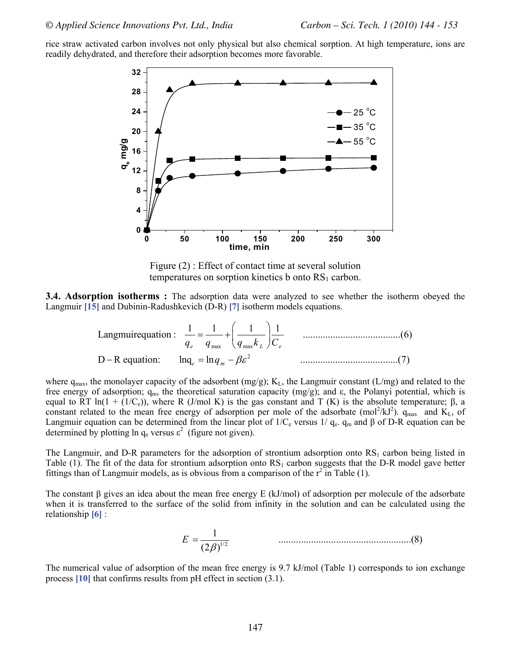rice straw activated carbon involves not only physical but also chemical sorption. At high temperature, ions are readily dehydrated, and therefore their adsorption becomes more favorable.



Figure (2) : Effect of contact time at several solution temperatures on sorption kinetics b onto  $RS<sub>1</sub>$  carbon.

**3.4. Adsorption isotherms :** The adsorption data were analyzed to see whether the isotherm obeyed the Langmuir **[15]** and Dubinin-Radushkevich (D-R) **[7]** isotherm models equations.

Langmuirequation: 
$$
\frac{1}{q_e} = \frac{1}{q_{\text{max}}} + \left(\frac{1}{q_{\text{max}}k_L}\right) \frac{1}{C_e}
$$
 \dots

\nD-R equation: 
$$
\ln q_e = \ln q_m - \beta \varepsilon^2
$$
 \dots

\n(7)

where  $q_{max}$ , the monolayer capacity of the adsorbent  $(mg/g)$ ; K<sub>L</sub>, the Langmuir constant (L/mg) and related to the free energy of adsorption;  $q_m$ , the theoretical saturation capacity (mg/g); and ε, the Polanyi potential, which is equal to RT ln(1 + (1/C<sub>e</sub>)), where R (J/mol K) is the gas constant and T (K) is the absolute temperature; β, a constant related to the mean free energy of adsorption per mole of the adsorbate (mol<sup>2</sup>/kJ<sup>2</sup>).  $q_{max}$  and  $K_L$ , of Langmuir equation can be determined from the linear plot of  $1/C_e$  versus  $1/q_e$ .  $q_m$  and  $\beta$  of D-R equation can be determined by plotting ln  $q_e$  versus  $\epsilon^2$  (figure not given).

The Langmuir, and D-R parameters for the adsorption of strontium adsorption onto  $RS<sub>1</sub>$  carbon being listed in Table (1). The fit of the data for strontium adsorption onto  $RS<sub>1</sub>$  carbon suggests that the D-R model gave better fittings than of Langmuir models, as is obvious from a comparison of the  $r^2$  in Table (1).

The constant β gives an idea about the mean free energy E (kJ/mol) of adsorption per molecule of the adsorbate when it is transferred to the surface of the solid from infinity in the solution and can be calculated using the relationship **[6]** :

$$
E = \frac{1}{(2\beta)^{1/2}} \tag{8}
$$

The numerical value of adsorption of the mean free energy is 9.7 kJ/mol (Table 1) corresponds to ion exchange process **[10]** that confirms results from pH effect in section (3.1).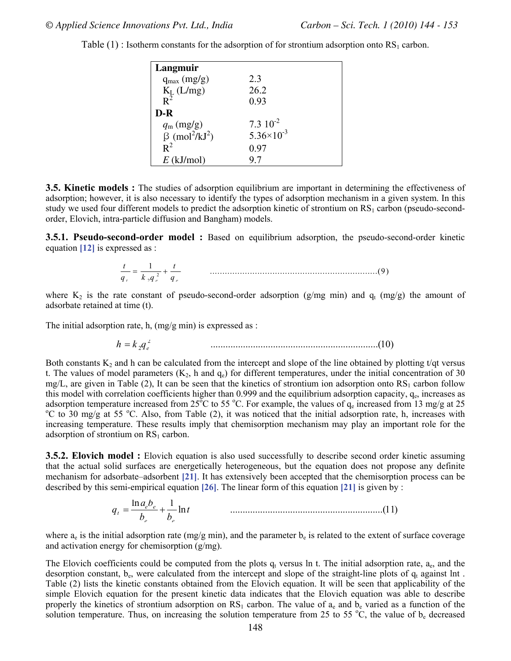| Langmuir                                     |                       |
|----------------------------------------------|-----------------------|
| $q_{max}(mg/g)$                              | 23                    |
| $K_L$ (L/mg)<br>$R^2$                        | 26.2                  |
|                                              | 0.93                  |
| D-R                                          |                       |
| $q_{\rm m}$ (mg/g)                           | $7.3 \; 10^{-2}$      |
| $\beta$ (mol <sup>2</sup> /kJ <sup>2</sup> ) | $5.36 \times 10^{-3}$ |
| $R^2$                                        | 0.97                  |
| $E$ (kJ/mol)                                 | 97                    |

Table  $(1)$ : Isotherm constants for the adsorption of for strontium adsorption onto RS<sub>1</sub> carbon.

**3.5. Kinetic models :** The studies of adsorption equilibrium are important in determining the effectiveness of adsorption; however, it is also necessary to identify the types of adsorption mechanism in a given system. In this study we used four different models to predict the adsorption kinetic of strontium on  $RS<sub>1</sub>$  carbon (pseudo-secondorder, Elovich, intra-particle diffusion and Bangham) models.

**3.5.1. Pseudo-second-order model :** Based on equilibrium adsorption, the pseudo-second-order kinetic equation **[12]** is expressed as :

$$
\frac{t}{q_{i}} = \frac{1}{k_{i}q_{i}^{2}} + \frac{t}{q_{i}}
$$
 (9)

where  $K_2$  is the rate constant of pseudo-second-order adsorption (g/mg min) and  $q_t$  (mg/g) the amount of adsorbate retained at time (t).

The initial adsorption rate, h, (mg/g min) is expressed as :

$$
h = k_2 q_e^2 \tag{10}
$$

Both constants  $K_2$  and h can be calculated from the intercept and slope of the line obtained by plotting t/qt versus t. The values of model parameters  $(K_2, h$  and  $q_e)$  for different temperatures, under the initial concentration of 30 mg/L, are given in Table (2), It can be seen that the kinetics of strontium ion adsorption onto  $RS<sub>1</sub>$  carbon follow this model with correlation coefficients higher than 0.999 and the equilibrium adsorption capacity, q<sub>e</sub>, increases as adsorption temperature increased from 25<sup>o</sup>C to 55 <sup>o</sup>C. For example, the values of  $q_e$  increased from 13 mg/g at 25 <sup>o</sup>C to 30 mg/g at 25 <sup>o</sup>C to 30 mg/g at 25 C to 30 mg/g at 55 °C. Also, from Table (2), it was noticed that the initial adsorption rate, h, increases with increasing temperature. These results imply that chemisorption mechanism may play an important role for the adsorption of strontium on  $RS<sub>1</sub>$  carbon.

**3.5.2. Elovich model :** Elovich equation is also used successfully to describe second order kinetic assuming that the actual solid surfaces are energetically heterogeneous, but the equation does not propose any definite mechanism for adsorbate–adsorbent **[21]**. It has extensively been accepted that the chemisorption process can be described by this semi-empirical equation **[26]**. The linear form of this equation **[21]** is given by :

$$
q_t = \frac{\ln a_e b_e}{b_e} + \frac{1}{b_e} \ln t \tag{11}
$$

where  $a_e$  is the initial adsorption rate (mg/g min), and the parameter  $b_e$  is related to the extent of surface coverage and activation energy for chemisorption (g/mg).

The Elovich coefficients could be computed from the plots  $q_t$  versus ln t. The initial adsorption rate,  $a_e$ , and the desorption constant,  $b_e$ , were calculated from the intercept and slope of the straight-line plots of  $q_t$  against lnt. Table (2) lists the kinetic constants obtained from the Elovich equation. It will be seen that applicability of the simple Elovich equation for the present kinetic data indicates that the Elovich equation was able to describe properly the kinetics of strontium adsorption on  $RS_1$  carbon. The value of  $a_e$  and  $b_e$  varied as a function of the solution temperature. Thus, on increasing the solution temperature from 25 to 55  $^{\circ}C$ , the value of  $b_e$  decreased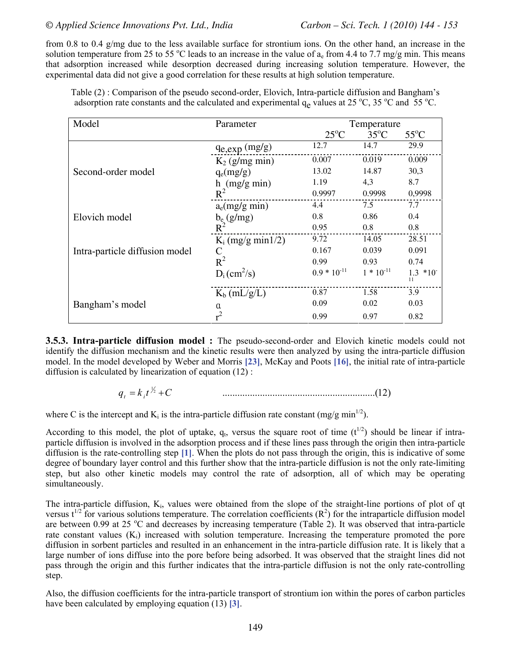from 0.8 to 0.4 g/mg due to the less available surface for strontium ions. On the other hand, an increase in the solution temperature from 25 to 55 °C leads to an increase in the value of  $a_e$  from 4.4 to 7.7 mg/g min. This means that adsorption increased while desorption decreased during increasing solution temperature. However, the experimental data did not give a good correlation for these results at high solution temperature.

Table (2) : Comparison of the pseudo second-order, Elovich, Intra-particle diffusion and Bangham's adsorption rate constants and the calculated and experimental  $q_e$  values at 25 °C, 35 °C and 55 °C.

| Model                          | Parameter                  | Temperature      |                |                       |
|--------------------------------|----------------------------|------------------|----------------|-----------------------|
|                                |                            | $25^{\circ}$ C   | $35^{\circ}$ C | $55^{\circ}$ C        |
|                                | $q_{e, exp}$ (mg/g)        | 12.7             | 14.7           | 29.9                  |
|                                | $K_2$ (g/mg min)           | 0.007            | 0.019          | 0.009                 |
| Second-order model             | $q_e(mg/g)$                | 13.02            | 14.87          | 30,3                  |
|                                | $h$ (mg/g min)             | 1.19             | 4,3            | 8.7                   |
|                                | $R^2$                      | 0.9997           | 0.9998         | 0,9998                |
|                                | $a_e(mg/g min)$            | 4.4              | 7.5            | 7.7                   |
| Elovich model                  | $b_e$ (g/mg)               | 0.8              | 0.86           | 0.4                   |
|                                | $R^2$                      | 0.95             | $0.8\,$        | 0.8                   |
| Intra-particle diffusion model | $K_i$ (mg/g min1/2)        | 9.72             | 14.05          | 28.51                 |
|                                | C                          | 0.167            | 0.039          | 0.091                 |
|                                | $R^2$                      | 0.99             | 0.93           | 0.74                  |
|                                | $D_i$ (cm <sup>2</sup> /s) | $0.9 * 10^{-11}$ | $1 * 10^{-11}$ | $1.3 * 10^{-7}$<br>11 |
| Bangham's model                | $K_b$ (mL/g/L)             | 0.87             | 1.58           | 3.9                   |
|                                | $\alpha$                   | 0.09             | 0.02           | 0.03                  |
|                                |                            | 0.99             | 0.97           | 0.82                  |

**3.5.3. Intra-particle diffusion model :** The pseudo-second-order and Elovich kinetic models could not identify the diffusion mechanism and the kinetic results were then analyzed by using the intra-particle diffusion model. In the model developed by Weber and Morris **[23]**, McKay and Poots **[16]**, the initial rate of intra-particle diffusion is calculated by linearization of equation (12) :

> $q_{i} = k_{i}t^{\frac{1}{2}} + C$ <sup>2</sup> .............................................................(12) *t i q kt C* = +

where C is the intercept and  $K_i$  is the intra-particle diffusion rate constant (mg/g min<sup>1/2</sup>).

According to this model, the plot of uptake,  $q_t$ , versus the square root of time ( $t^{1/2}$ ) should be linear if intraparticle diffusion is involved in the adsorption process and if these lines pass through the origin then intra-particle diffusion is the rate-controlling step **[1]**. When the plots do not pass through the origin, this is indicative of some degree of boundary layer control and this further show that the intra-particle diffusion is not the only rate-limiting step, but also other kinetic models may control the rate of adsorption, all of which may be operating simultaneously.

The intra-particle diffusion,  $K_i$ , values were obtained from the slope of the straight-line portions of plot of qt versus  $t^{1/2}$  for various solutions temperature. The correlation coefficients  $(R^2)$  for the intraparticle diffusion model are between 0.99 at 25 °C and decreases by increasing temperature (Table 2). It was observed that intra-particle rate constant values  $(K_i)$  increased with solution temperature. Increasing the temperature promoted the pore diffusion in sorbent particles and resulted in an enhancement in the intra-particle diffusion rate. It is likely that a large number of ions diffuse into the pore before being adsorbed. It was observed that the straight lines did not pass through the origin and this further indicates that the intra-particle diffusion is not the only rate-controlling step.

 Also, the diffusion coefficients for the intra-particle transport of strontium ion within the pores of carbon particles have been calculated by employing equation (13) **[3]**.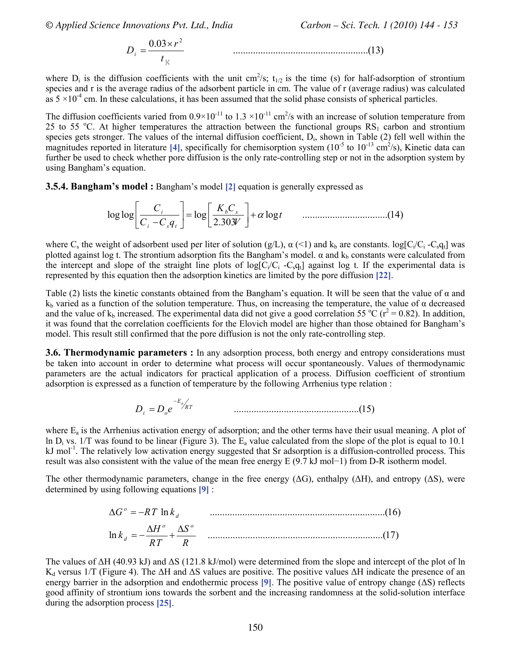*© Applied Science Innovations Pvt. Ltd., India Carbon – Sci. Tech. 1 (2010) 144 - 153*

$$
D_i = \frac{0.03 \times r^2}{t_{\frac{1}{2}}} \tag{13}
$$

where  $D_i$  is the diffusion coefficients with the unit cm<sup>2</sup>/s;  $t_{1/2}$  is the time (s) for half-adsorption of strontium species and r is the average radius of the adsorbent particle in cm. The value of r (average radius) was calculated as  $5 \times 10^{-4}$  cm. In these calculations, it has been assumed that the solid phase consists of spherical particles.

The diffusion coefficients varied from  $0.9 \times 10^{-11}$  to  $1.3 \times 10^{-11}$  cm<sup>2</sup>/s with an increase of solution temperature from 25 to 55 °C. At higher temperatures the attraction between the functional groups  $RS<sub>1</sub>$  carbon and strontium species gets stronger. The values of the internal diffusion coefficient,  $D_i$ , shown in Table (2) fell well within the magnitudes reported in literature [4], specifically for chemisorption system  $(10^{-5}$  to  $10^{-13}$  cm<sup>2</sup>/s), Kinetic data can further be used to check whether pore diffusion is the only rate-controlling step or not in the adsorption system by using Bangham's equation.

**3.5.4. Bangham's model :** Bangham's model **[2]** equation is generally expressed as

log log log log ..................................(14) 2.303 *i b s i st C K C t C Cq V* α ⎡ ⎤ ⎡ ⎤ ⎢ ⎥ = + ⎢ ⎥ ⎣ ⎦ <sup>−</sup> ⎣ ⎦

where C<sub>s</sub> the weight of adsorbent used per liter of solution (g/L),  $\alpha$  (<1) and k<sub>b</sub> are constants. log[C<sub>i</sub>/C<sub>i</sub> -C<sub>s</sub>q<sub>t</sub>] was plotted against log t. The strontium adsorption fits the Bangham's model.  $\alpha$  and  $k_b$  constants were calculated from the intercept and slope of the straight line plots of  $log[C_i/C_i - C_s q_t]$  against log t. If the experimental data is represented by this equation then the adsorption kinetics are limited by the pore diffusion **[22]**.

Table (2) lists the kinetic constants obtained from the Bangham's equation. It will be seen that the value of  $\alpha$  and  $k_b$  varied as a function of the solution temperature. Thus, on increasing the temperature, the value of  $\alpha$  decreased and the value of  $k_b$  increased. The experimental data did not give a good correlation 55 °C ( $r^2$  = 0.82). In addition, it was found that the correlation coefficients for the Elovich model are higher than those obtained for Bangham's model. This result still confirmed that the pore diffusion is not the only rate-controlling step.

**3.6. Thermodynamic parameters :** In any adsorption process, both energy and entropy considerations must be taken into account in order to determine what process will occur spontaneously. Values of thermodynamic parameters are the actual indicators for practical application of a process. Diffusion coefficient of strontium adsorption is expressed as a function of temperature by the following Arrhenius type relation :

$$
D_i = D_o e^{-E_a / RT}
$$
 (15)

where  $E_a$  is the Arrhenius activation energy of adsorption; and the other terms have their usual meaning. A plot of In  $D_i$  vs. 1/T was found to be linear (Figure 3). The  $E_a$  value calculated from the slope of the plot is equal to 10.1  $kJ$  mol<sup>-1</sup>. The relatively low activation energy suggested that Sr adsorption is a diffusion-controlled process. This result was also consistent with the value of the mean free energy E (9.7 kJ mol−1) from D-R isotherm model.

The other thermodynamic parameters, change in the free energy  $( \Delta G)$ , enthalpy  $( \Delta H)$ , and entropy  $( \Delta S)$ , were determined by using following equations **[9]** :

$$
\Delta G^{\circ} = -RT \ln k_d \qquad \qquad (16)
$$
  

$$
\ln k_d = -\frac{\Delta H^{\circ}}{RT} + \frac{\Delta S^{\circ}}{R} \qquad \qquad (17)
$$

The values of  $\Delta H$  (40.93 kJ) and  $\Delta S$  (121.8 kJ/mol) were determined from the slope and intercept of the plot of ln K<sub>d</sub> versus 1/T (Figure 4). The ΔH and ΔS values are positive. The positive values ΔH indicate the presence of an energy barrier in the adsorption and endothermic process **[9]**. The positive value of entropy change (ΔS) reflects good affinity of strontium ions towards the sorbent and the increasing randomness at the solid-solution interface during the adsorption process **[25]**.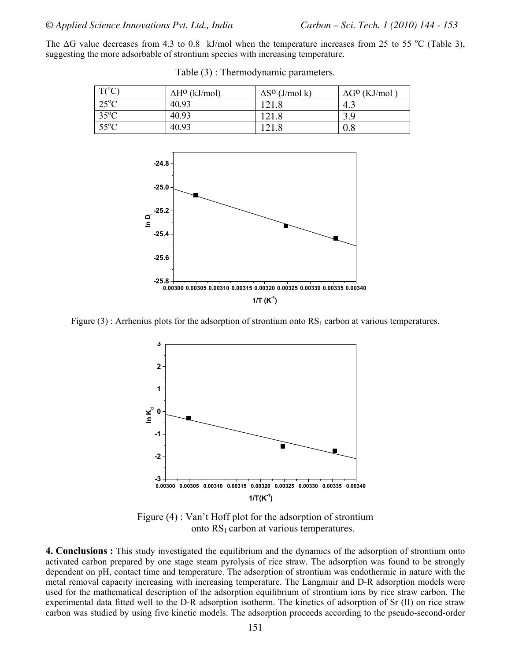The  $\Delta G$  value decreases from 4.3 to 0.8 kJ/mol when the temperature increases from 25 to 55 °C (Table 3), suggesting the more adsorbable of strontium species with increasing temperature.

| $T(^{\circ}C)$       | $\Delta H^0$ (kJ/mol) | $\Delta S^0$ (J/mol k) | $\Delta G^{\rm O}$ (KJ/mol) |
|----------------------|-----------------------|------------------------|-----------------------------|
| $25^{\circ}\text{C}$ | 40.93                 | 121.8                  | 4.3                         |
| $35^{\circ}$ C       | 40.93                 | 121.8                  | 3.9                         |
| $55^{\circ}$ C       | 40.93                 | 121.8                  | 0.8                         |

Table (3) : Thermodynamic parameters.



Figure (3) : Arrhenius plots for the adsorption of strontium onto  $RS<sub>1</sub>$  carbon at various temperatures.



Figure (4) : Van't Hoff plot for the adsorption of strontium onto  $RS<sub>1</sub>$  carbon at various temperatures.

**4. Conclusions :** This study investigated the equilibrium and the dynamics of the adsorption of strontium onto activated carbon prepared by one stage steam pyrolysis of rice straw. The adsorption was found to be strongly dependent on pH, contact time and temperature. The adsorption of strontium was endothermic in nature with the metal removal capacity increasing with increasing temperature. The Langmuir and D-R adsorption models were used for the mathematical description of the adsorption equilibrium of strontium ions by rice straw carbon. The experimental data fitted well to the D-R adsorption isotherm. The kinetics of adsorption of Sr (II) on rice straw carbon was studied by using five kinetic models. The adsorption proceeds according to the pseudo-second-order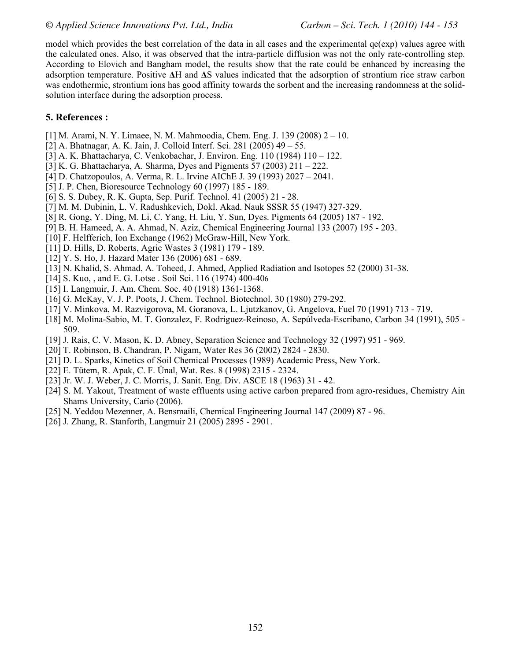model which provides the best correlation of the data in all cases and the experimental  $qe(exp)$  values agree with the calculated ones. Also, it was observed that the intra-particle diffusion was not the only rate-controlling step. According to Elovich and Bangham model, the results show that the rate could be enhanced by increasing the adsorption temperature. Positive **Δ**H and **Δ**S values indicated that the adsorption of strontium rice straw carbon was endothermic, strontium ions has good affinity towards the sorbent and the increasing randomness at the solidsolution interface during the adsorption process.

#### **5. References :**

- [1] M. Arami, N. Y. Limaee, N. M. Mahmoodia, Chem. Eng. J. 139 (2008) 2 10.
- [2] A. Bhatnagar, A. K. Jain, J. Colloid Interf. Sci. 281 (2005) 49 55.
- [3] A. K. Bhattacharya, C. Venkobachar, J. Environ. Eng. 110 (1984) 110 122.
- [3] K. G. Bhattacharya, A. Sharma, Dyes and Pigments 57 (2003) 211 222.
- [4] D. Chatzopoulos, A. Verma, R. L. Irvine AIChE J. 39 (1993) 2027 2041.
- [5] J. P. Chen, Bioresource Technology 60 (1997) 185 189.
- [6] S. S. Dubey, R. K. Gupta, Sep. Purif. Technol. 41 (2005) 21 28.
- [7] M. M. Dubinin, L. V. Radushkevich, Dokl. Akad. Nauk SSSR 55 (1947) 327-329.
- [8] R. Gong, Y. Ding, M. Li, C. Yang, H. Liu, Y. Sun, Dyes. Pigments 64 (2005) 187 192.
- [9] B. H. Hameed, A. A. Ahmad, N. Aziz, Chemical Engineering Journal 133 (2007) 195 203.
- [10] F. Helfferich, Ion Exchange (1962) McGraw-Hill, New York.
- [11] D. Hills, D. Roberts, Agric Wastes 3 (1981) 179 189.
- [12] Y. S. Ho, J. Hazard Mater 136 (2006) 681 689.
- [13] N. Khalid, S. Ahmad, A. Toheed, J. Ahmed, Applied Radiation and Isotopes 52 (2000) 31-38.
- [14] S. Kuo, , and E. G. Lotse . Soil Sci. 116 (1974) 400-406
- [15] I. Langmuir, J. Am. Chem. Soc. 40 (1918) 1361-1368.
- [16] G. McKay, V. J. P. Poots, J. Chem. Technol. Biotechnol. 30 (1980) 279-292.
- [17] V. Minkova, M. Razvigorova, M. Goranova, L. Ljutzkanov, G. Angelova, Fuel 70 (1991) 713 719.
- [18] M. Molina-Sabio, M. T. Gonzalez, F. Rodriguez-Reinoso, A. Sepúlveda-Escribano, Carbon 34 (1991), 505 509.
- [19] J. Rais, C. V. Mason, K. D. Abney, Separation Science and Technology 32 (1997) 951 969.
- [20] T. Robinson, B. Chandran, P. Nigam, Water Res 36 (2002) 2824 2830.
- [21] D. L. Sparks, Kinetics of Soil Chemical Processes (1989) Academic Press, New York.
- [22] E. Tütem, R. Apak, C. F. Ünal, Wat. Res. 8 (1998) 2315 2324.
- [23] Jr. W. J. Weber, J. C. Morris, J. Sanit. Eng. Div. ASCE 18 (1963) 31 42.
- [24] S. M. Yakout, Treatment of waste effluents using active carbon prepared from agro-residues, Chemistry Ain Shams University, Cario (2006).
- [25] N. Yeddou Mezenner, A. Bensmaili, Chemical Engineering Journal 147 (2009) 87 96.
- [26] J. Zhang, R. Stanforth, Langmuir 21 (2005) 2895 2901.